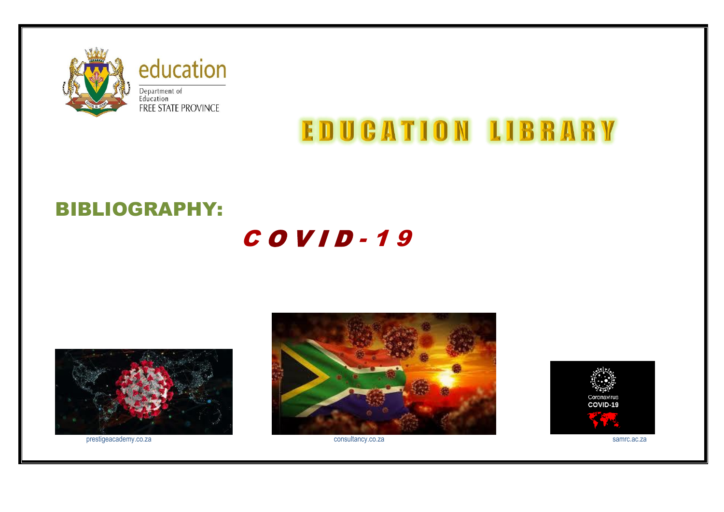

education Department of<br>Education<br>FREE STATE PROVINCE

# **EDUCATION LIBRARY**

## BIBLIOGRAPHY:

## C O V I D - 1 9



prestigeacademy.co.za samrc.ac.za consultancy.co.za consultancy.co.za samrc.ac.za samrc.ac.za



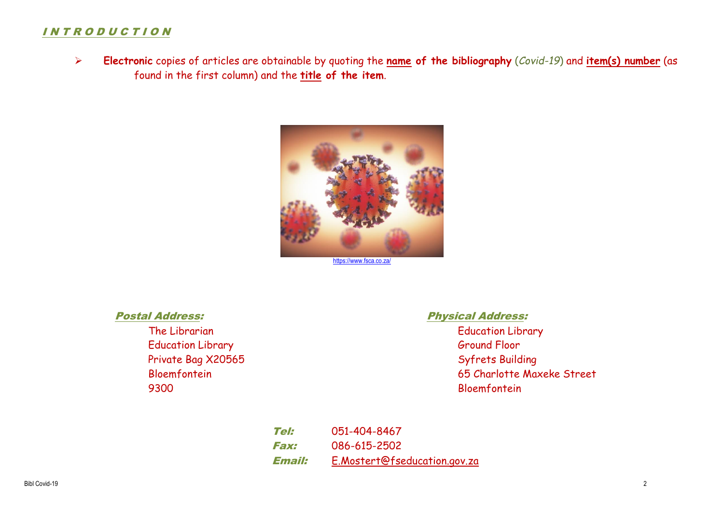### I N T R O D U C T I O N

 **Electronic** copies of articles are obtainable by quoting the **name of the bibliography** (*Covid-19*) and **item(s) number** (as found in the first column) and the **title of the item**.



<https://www.fsca.co.za/>

Education Library Ground Floor Private Bag X20565 Syfrets Building 9300 Bloemfontein

### Postal Address: Physical Address:

The Librarian Education Library Contract Contract Contract Contract Contract Contract Contract Contract Contract Contract Contract Contract Contract Contract Contract Contract Contract Contract Contract Contract Contract C Bloemfontein 65 Charlotte Maxeke Street

> Tel: 051-404-8467 Fax: 086-615-2502 Email: [E.Mostert@fseducation.gov.za](mailto:E.Mostert@fseducation.gov.za)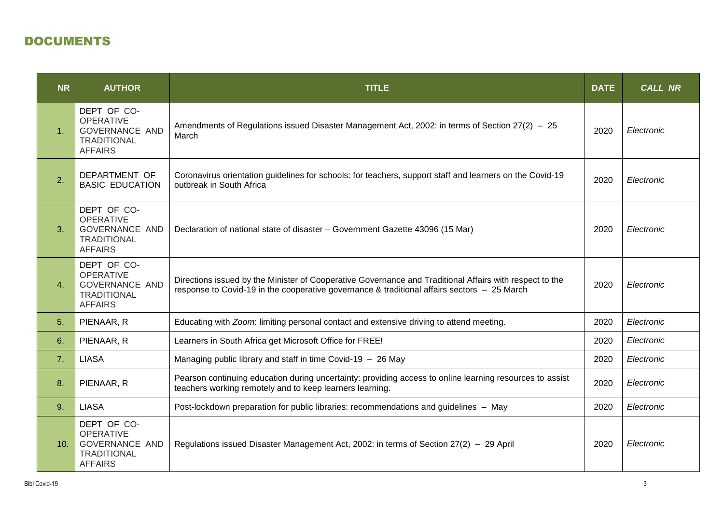## DOCUMENTS

| <b>NR</b>      | <b>AUTHOR</b>                                                                                                                                                                      | <b>TITLE</b>                                                                                                                                                                                           | <b>DATE</b> | <b>CALL NR</b> |
|----------------|------------------------------------------------------------------------------------------------------------------------------------------------------------------------------------|--------------------------------------------------------------------------------------------------------------------------------------------------------------------------------------------------------|-------------|----------------|
| 1 <sub>1</sub> | DEPT OF CO-<br><b>OPERATIVE</b><br><b>GOVERNANCE AND</b><br><b>TRADITIONAL</b><br><b>AFFAIRS</b>                                                                                   | Amendments of Regulations issued Disaster Management Act, 2002: in terms of Section 27(2) - 25<br>March                                                                                                |             | Electronic     |
| 2.             | DEPARTMENT OF<br><b>BASIC EDUCATION</b>                                                                                                                                            | Coronavirus orientation guidelines for schools: for teachers, support staff and learners on the Covid-19<br>2020<br>outbreak in South Africa                                                           |             | Electronic     |
| 3.             | DEPT OF CO-<br><b>OPERATIVE</b><br><b>GOVERNANCE AND</b><br><b>TRADITIONAL</b><br><b>AFFAIRS</b>                                                                                   | Declaration of national state of disaster - Government Gazette 43096 (15 Mar)<br>2020                                                                                                                  |             | Electronic     |
| 4.             | DEPT OF CO-<br><b>OPERATIVE</b><br><b>GOVERNANCE AND</b><br><b>TRADITIONAL</b><br><b>AFFAIRS</b>                                                                                   | Directions issued by the Minister of Cooperative Governance and Traditional Affairs with respect to the<br>response to Covid-19 in the cooperative governance & traditional affairs sectors - 25 March |             | Electronic     |
| 5.             | PIENAAR, R                                                                                                                                                                         | Educating with Zoom: limiting personal contact and extensive driving to attend meeting.                                                                                                                |             | Electronic     |
| 6.             | PIENAAR, R                                                                                                                                                                         | Learners in South Africa get Microsoft Office for FREE!                                                                                                                                                |             | Electronic     |
| 7.             | <b>LIASA</b>                                                                                                                                                                       | Managing public library and staff in time Covid-19 - 26 May                                                                                                                                            |             | Electronic     |
| 8.             | Pearson continuing education during uncertainty: providing access to online learning resources to assist<br>PIENAAR, R<br>teachers working remotely and to keep learners learning. |                                                                                                                                                                                                        | 2020        | Electronic     |
| 9.             | <b>LIASA</b>                                                                                                                                                                       | Post-lockdown preparation for public libraries: recommendations and guidelines - May                                                                                                                   | 2020        | Electronic     |
| 10.            | DEPT OF CO-<br><b>OPERATIVE</b><br><b>GOVERNANCE AND</b><br><b>TRADITIONAL</b><br><b>AFFAIRS</b>                                                                                   | Regulations issued Disaster Management Act, 2002: in terms of Section 27(2) - 29 April                                                                                                                 | 2020        | Electronic     |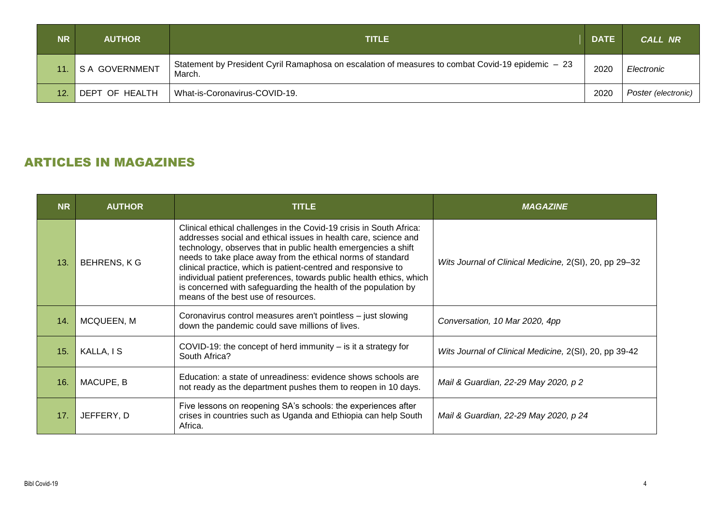| <b>NR</b>       | <b>AUTHOR</b>   | <b>TITLE</b>                                                                                                | <b>DATE</b> | <b>CALL NR</b>      |
|-----------------|-----------------|-------------------------------------------------------------------------------------------------------------|-------------|---------------------|
|                 | 'S A GOVERNMENT | Statement by President Cyril Ramaphosa on escalation of measures to combat Covid-19 epidemic - 23<br>March. | 2020        | Electronic          |
| 12 <sub>1</sub> | DEPT OF HEALTH  | What-is-Coronavirus-COVID-19.                                                                               | 2020        | Poster (electronic) |

## ARTICLES IN MAGAZINES

| <b>NR</b> | <b>AUTHOR</b>      | <b>TITLE</b>                                                                                                                                                                                                                                                                                                                                                                                                                                                                                                             | <b>MAGAZINE</b>                                        |
|-----------|--------------------|--------------------------------------------------------------------------------------------------------------------------------------------------------------------------------------------------------------------------------------------------------------------------------------------------------------------------------------------------------------------------------------------------------------------------------------------------------------------------------------------------------------------------|--------------------------------------------------------|
| 13.       | <b>BEHRENS, KG</b> | Clinical ethical challenges in the Covid-19 crisis in South Africa:<br>addresses social and ethical issues in health care, science and<br>technology, observes that in public health emergencies a shift<br>needs to take place away from the ethical norms of standard<br>clinical practice, which is patient-centred and responsive to<br>individual patient preferences, towards public health ethics, which<br>is concerned with safeguarding the health of the population by<br>means of the best use of resources. | Wits Journal of Clinical Medicine, 2(SI), 20, pp 29-32 |
| 14.       | MCQUEEN, M         | Coronavirus control measures aren't pointless - just slowing<br>down the pandemic could save millions of lives.                                                                                                                                                                                                                                                                                                                                                                                                          | Conversation, 10 Mar 2020, 4pp                         |
| 15.       | KALLA, IS          | COVID-19: the concept of herd immunity $-$ is it a strategy for<br>South Africa?                                                                                                                                                                                                                                                                                                                                                                                                                                         | Wits Journal of Clinical Medicine, 2(SI), 20, pp 39-42 |
| 16.       | MACUPE, B          | Education: a state of unreadiness: evidence shows schools are<br>not ready as the department pushes them to reopen in 10 days.                                                                                                                                                                                                                                                                                                                                                                                           | Mail & Guardian, 22-29 May 2020, p 2                   |
| 17.       | JEFFERY, D         | Five lessons on reopening SA's schools: the experiences after<br>crises in countries such as Uganda and Ethiopia can help South<br>Africa.                                                                                                                                                                                                                                                                                                                                                                               | Mail & Guardian, 22-29 May 2020, p 24                  |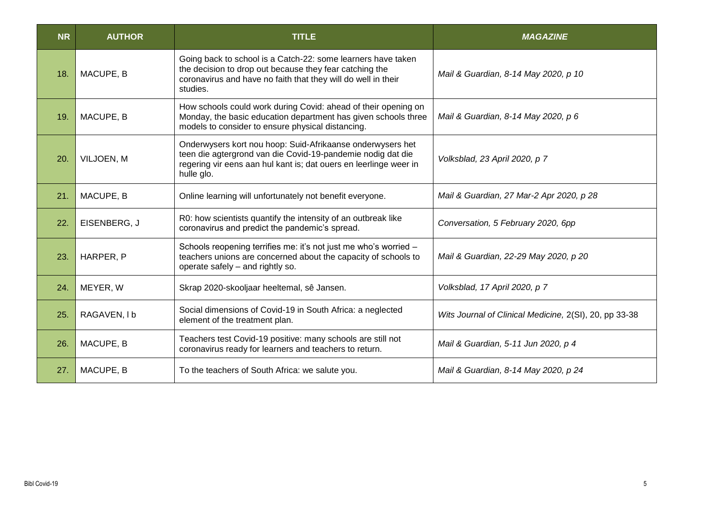| <b>NR</b> | <b>AUTHOR</b> | <b>TITLE</b>                                                                                                                                                                                                 | <b>MAGAZINE</b>                                        |
|-----------|---------------|--------------------------------------------------------------------------------------------------------------------------------------------------------------------------------------------------------------|--------------------------------------------------------|
| 18.       | MACUPE, B     | Going back to school is a Catch-22: some learners have taken<br>the decision to drop out because they fear catching the<br>coronavirus and have no faith that they will do well in their<br>studies.         | Mail & Guardian, 8-14 May 2020, p 10                   |
| 19.       | MACUPE, B     | How schools could work during Covid: ahead of their opening on<br>Monday, the basic education department has given schools three<br>models to consider to ensure physical distancing.                        | Mail & Guardian, 8-14 May 2020, p 6                    |
| 20.       | VILJOEN, M    | Onderwysers kort nou hoop: Suid-Afrikaanse onderwysers het<br>teen die agtergrond van die Covid-19-pandemie nodig dat die<br>regering vir eens aan hul kant is; dat ouers en leerlinge weer in<br>hulle glo. | Volksblad, 23 April 2020, p 7                          |
| 21.       | MACUPE, B     | Online learning will unfortunately not benefit everyone.                                                                                                                                                     | Mail & Guardian, 27 Mar-2 Apr 2020, p 28               |
| 22.       | EISENBERG, J  | R0: how scientists quantify the intensity of an outbreak like<br>coronavirus and predict the pandemic's spread.                                                                                              | Conversation, 5 February 2020, 6pp                     |
| 23.       | HARPER, P     | Schools reopening terrifies me: it's not just me who's worried -<br>teachers unions are concerned about the capacity of schools to<br>operate safely - and rightly so.                                       | Mail & Guardian, 22-29 May 2020, p 20                  |
| 24.       | MEYER, W      | Skrap 2020-skooljaar heeltemal, sê Jansen.                                                                                                                                                                   | Volksblad, 17 April 2020, p 7                          |
| 25.       | RAGAVEN, I b  | Social dimensions of Covid-19 in South Africa: a neglected<br>element of the treatment plan.                                                                                                                 | Wits Journal of Clinical Medicine, 2(SI), 20, pp 33-38 |
| 26.       | MACUPE, B     | Teachers test Covid-19 positive: many schools are still not<br>coronavirus ready for learners and teachers to return.                                                                                        | Mail & Guardian, 5-11 Jun 2020, p 4                    |
| 27.       | MACUPE, B     | To the teachers of South Africa: we salute you.                                                                                                                                                              | Mail & Guardian, 8-14 May 2020, p 24                   |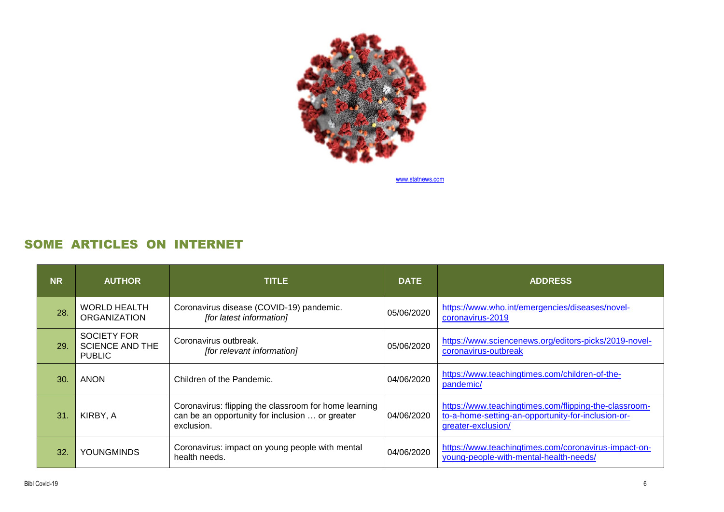

[www.statnews.com](http://www.statnews.com/)

## SOME ARTICLES ON INTERNET

| <b>NR</b> | <b>AUTHOR</b>                                                 | <b>TITLE</b>                                                                                                           | <b>DATE</b> | <b>ADDRESS</b>                                                                                                                    |
|-----------|---------------------------------------------------------------|------------------------------------------------------------------------------------------------------------------------|-------------|-----------------------------------------------------------------------------------------------------------------------------------|
| 28.       | <b>WORLD HEALTH</b><br><b>ORGANIZATION</b>                    | Coronavirus disease (COVID-19) pandemic.<br>[for latest information]                                                   | 05/06/2020  | https://www.who.int/emergencies/diseases/novel-<br>coronavirus-2019                                                               |
| 29.       | <b>SOCIETY FOR</b><br><b>SCIENCE AND THE</b><br><b>PUBLIC</b> | Coronavirus outbreak.<br>[for relevant information]                                                                    | 05/06/2020  | https://www.sciencenews.org/editors-picks/2019-novel-<br>coronavirus-outbreak                                                     |
| 30.       | <b>ANON</b>                                                   | Children of the Pandemic.                                                                                              | 04/06/2020  | https://www.teachingtimes.com/children-of-the-<br>pandemic/                                                                       |
| 31.       | KIRBY, A                                                      | Coronavirus: flipping the classroom for home learning<br>can be an opportunity for inclusion  or greater<br>exclusion. | 04/06/2020  | https://www.teachingtimes.com/flipping-the-classroom-<br>to-a-home-setting-an-opportunity-for-inclusion-or-<br>greater-exclusion/ |
| 32.       | <b>YOUNGMINDS</b>                                             | Coronavirus: impact on young people with mental<br>health needs.                                                       | 04/06/2020  | https://www.teachingtimes.com/coronavirus-impact-on-<br>young-people-with-mental-health-needs/                                    |